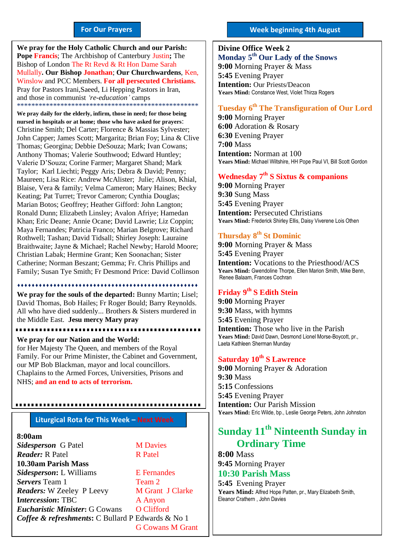#### **For Our Prayers**

arted Mullally**. Our Bishop Jonathan**; **Our Churchwardens**, Ken, **We pray for the Holy Catholic Church and our Parish: Pope Francis**; The Archbishop of Canterbury Justin**;** The Bishop of London The Rt Revd & Rt Hon Dame Sarah Winslow and PCC Members. **For all persecuted Christians.** Pray for Pastors Irani,Saeed, Li Hepping Pastors in Iran, and those in communist *'re-education'* camps \*\*\*\*\*\*\*\*\*\*\*\*\*\*\*\*\*\*\*\*\*\*\*\*\*\*\*\*\*\*\*\*\*\*\*\*\*\*\*\*\*\*\*\*\*\*\*\*\*\*

**We pray daily for the elderly, infirm, those in need; for those being nursed in hospitals or at home; those who have asked for prayers**: Christine Smith; Del Carter; Florence & Massias Sylvester; John Capper; James Scott; Margarita; Brian Foy; Lina & Clive Thomas; Georgina; Debbie DeSouza; Mark; Ivan Cowans; Anthony Thomas; Valerie Southwood; Edward Huntley; Valerie D'Souza; Corine Farmer; Margaret Shand; Mark Taylor; Karl Liechti; Peggy Aris; Debra & David; Penny; Maureen; Lisa Rice: Andrew McAlister; Julie; Alison, Khial, Blaise, Vera & family; Velma Cameron; Mary Haines; Becky Keating; Pat Turret; Trevor Cameron; Cynthia Douglas; Marian Botos; Geoffrey; Heather Gifford: John Langton; Ronald Dunn; Elizabeth Linsley; Avalon Afriye; Hamedan Khan; Eric Deane; Annie Ocane; David Lawrie; Liz Coppin; Maya Fernandes; Patricia Franco; Marian Belgrove; Richard Rothwell; Tashan; David Tidsall; Shirley Joseph: Lauraine Braithwaite; Jayne & Michael; Rachel Newby; Harold Moore; Christian Labak; Hermine Grant; Ken Soonachan; Sister Catherine; Norman Beszant; Gemma; Fr. Chris Phillips and Family; Susan Tye Smith; Fr Desmond Price: David Collinson

#### 

**We pray for the souls of the departed:** Bunny Martin; Lisel; David Thomas, Bob Hailes; Fr Roger Bould; Barry Reynolds. All who have died suddenly... Brothers & Sisters murdered in the Middle East. **Jesu mercy Mary pray**

........................

#### **We pray for our Nation and the World:** for Her Majesty The Queen, and members of the Royal Family. For our Prime Minister, the Cabinet and Government, our MP Bob Blackman, mayor and local councillors.

,,,,,,,,,,,,,,,,,,,,,,,,,

Chaplains to the Armed Forces, Universities, Prisons and NHS; **and an end to acts of terrorism.**

**Liturgical Rota for This Week – Next Week**

#### **8:00am**

**Sidesperson** G Patel **M Davies** *Reader:* R Patel R Patel **10.30am Parish Mass**  *Sidesperson***:** L Williams E Fernandes **Servers** Team 1 Team 2 *Readers*: W Zeeley P Leevy M Grant J Clarke **Intercession:** TBC **A** Anyon *Eucharistic Minister*: G Cowans O Clifford *Coffee & refreshments***:** C Bullard P Edwards & No 1 G Cowans M Grant

#### **Week beginning 4th August**

**Divine Office Week 2 Monday 5 th Our Lady of the Snows 9:00** Morning Prayer & Mass **5:45** Evening Prayer **Intention:** Our Priests/Deacon **Years Mind:** Constance West, Violet Thirza Rogers **2019**

#### **Tuesday 6 th The Transfiguration of Our Lord**

**9:00** Morning Prayer **6:00** Adoration & Rosary **6:30** Evening Prayer **7:00** Mass **Intention:** Norman at 100 **Years Mind:** Michael Wiltshire, HH Pope Paul VI, Bill Scott Gordon

#### **Wednesday 7 th S Sixtus & companions**

**9:00** Morning Prayer **9:30** Sung Mass **5:45** Evening Prayer **Intention: Persecuted Christians Years Mind:** Frederick Shirley Ellis, Daisy Viverene Lois Othen

#### **Thursday** 8<sup>th</sup> St Dominic

**9:00** Morning Prayer & Mass **5:45** Evening Prayer **Intention:** Vocations to the Priesthood/ACS **Years Mind:** Gwendoline Thorpe, Ellen Marion Smith, Mike Benn, Renee Balaam, Frances Cochran

#### **Friday 9 th S Edith Stein**

**9:00** Morning Prayer **9:30** Mass, with hymns **5:45** Evening Prayer **Intention:** Those who live in the Parish **Years Mind:** David Dawn, Desmond Lionel Morse-Boycott, pr., Laeta Kathleen Sherman Munday

### **Saturday 10th S Lawrence**

**9:00** Morning Prayer & Adoration **9:30** Mass **5:15** Confessions **5:45** Evening Prayer **Intention:** Our Parish Mission **Years Mind:** Eric Wilde, bp., Leslie George Peters, John Johnston

# **Sunday 11th Ninteenth Sunday in Ordinary Time**

**8:00** Mass **9:45** Morning Prayer

# **10:30 Parish Mass**

**5:45** Evening Prayer **Years Mind:** Alfred Hope Patten, pr., Mary Elizabeth Smith, Eleanor Crathern , John Davies